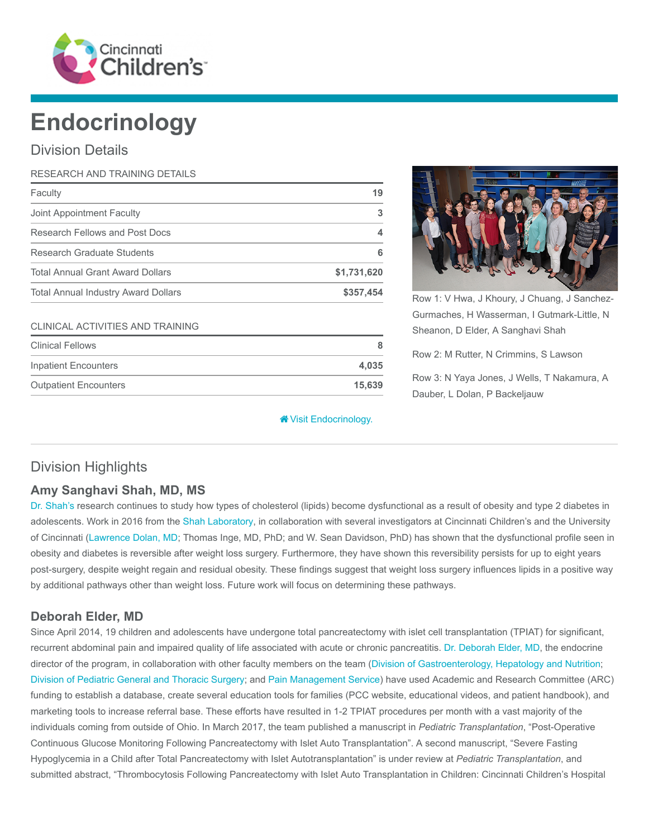

# Endocrinology

## Division Details

| RESEARCH AND TRAINING DETAILS              |             |
|--------------------------------------------|-------------|
| Faculty                                    | 19          |
| Joint Appointment Faculty                  | 3           |
| Research Fellows and Post Docs             | 4           |
| Research Graduate Students                 | 6           |
| <b>Total Annual Grant Award Dollars</b>    | \$1,731,620 |
| <b>Total Annual Industry Award Dollars</b> | \$357,454   |

#### CLINICAL ACTIVITIES AND TRAINING

| <b>Clinical Fellows</b>      |        |
|------------------------------|--------|
| Inpatient Encounters         | 4.035  |
| <b>Outpatient Encounters</b> | 15.639 |

#### **<sup>\*</sup>** [Visit Endocrinology.](https://www.cincinnatichildrens.org/research/divisions/e/endocrinology)



Row 1: V Hwa, J Khoury, J Chuang, J Sanchez-Gurmaches, H Wasserman, I Gutmark-Little, N Sheanon, D Elder, A Sanghavi Shah

Row 2: M Rutter, N Crimmins, S Lawson

Row 3: N Yaya Jones, J Wells, T Nakamura, A Dauber, L Dolan, P Backeljauw

## Division Highlights

## Amy Sanghavi Shah, MD, MS

[Dr. Shah's](https://www.cincinnatichildrens.org/bio/s/amy-shah) research continues to study how types of cholesterol (lipids) become dysfunctional as a result of obesity and type 2 diabetes in adolescents. Work in 2016 from the [Shah Laboratory,](https://www.cincinnatichildrens.org/research/divisions/e/endocrinology/labs/shah) in collaboration with several investigators at Cincinnati Children's and the University of Cincinnati ([Lawrence Dolan, MD](https://www.cincinnatichildrens.org/bio/d/lawrence-dolan); Thomas Inge, MD, PhD; and W. Sean Davidson, PhD) has shown that the dysfunctional profile seen in obesity and diabetes is reversible after weight loss surgery. Furthermore, they have shown this reversibility persists for up to eight years post-surgery, despite weight regain and residual obesity. These findings suggest that weight loss surgery influences lipids in a positive way by additional pathways other than weight loss. Future work will focus on determining these pathways.

## Deborah Elder, MD

Since April 2014, 19 children and adolescents have undergone total pancreatectomy with islet cell transplantation (TPIAT) for significant, recurrent abdominal pain and impaired quality of life associated with acute or chronic pancreatitis. [Dr. Deborah Elder, MD](https://www.cincinnatichildrens.org/bio/e/deborah-elder), the endocrine director of the program, in collaboration with other faculty members on the team ([Division of Gastroenterology, Hepatology and Nutrition;](https://www.cincinnatichildrens.org/research/divisions/g/gastroenterology) [Division of Pediatric General and Thoracic Surgery](https://www.cincinnatichildrens.org/research/divisions/g/thoracic-surgery); and [Pain Management Service](https://www.cincinnatichildrens.org/service/p/pain)) have used Academic and Research Committee (ARC) funding to establish a database, create several education tools for families (PCC website, educational videos, and patient handbook), and marketing tools to increase referral base. These efforts have resulted in 1-2 TPIAT procedures per month with a vast majority of the individuals coming from outside of Ohio. In March 2017, the team published a manuscript in Pediatric Transplantation, "Post-Operative Continuous Glucose Monitoring Following Pancreatectomy with Islet Auto Transplantation". A second manuscript, "Severe Fasting Hypoglycemia in a Child after Total Pancreatectomy with Islet Autotransplantation" is under review at Pediatric Transplantation, and submitted abstract, "Thrombocytosis Following Pancreatectomy with Islet Auto Transplantation in Children: Cincinnati Children's Hospital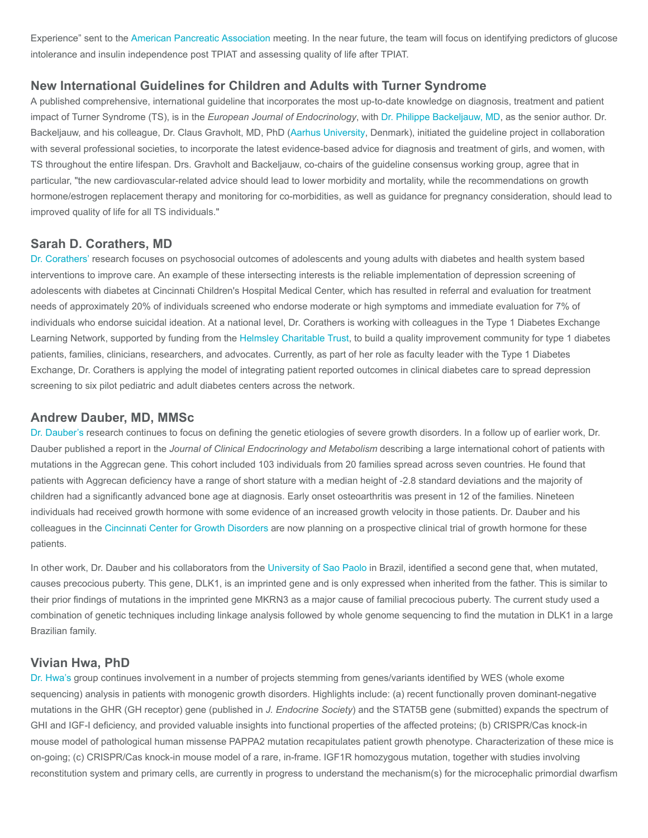Experience" sent to the [American Pancreatic Association](https://www.american-pancreatic-association.org/) meeting. In the near future, the team will focus on identifying predictors of glucose intolerance and insulin independence post TPIAT and assessing quality of life after TPIAT.

#### New International Guidelines for Children and Adults with Turner Syndrome

A published comprehensive, international guideline that incorporates the most up-to-date knowledge on diagnosis, treatment and patient impact of Turner Syndrome (TS), is in the European Journal of Endocrinology, with [Dr. Philippe Backeljauw, MD,](https://www.cincinnatichildrens.org/bio/b/philippe-backeljauw) as the senior author. Dr. Backeljauw, and his colleague, Dr. Claus Gravholt, MD, PhD [\(Aarhus University,](http://www.en.auh.dk/) Denmark), initiated the guideline project in collaboration with several professional societies, to incorporate the latest evidence-based advice for diagnosis and treatment of girls, and women, with TS throughout the entire lifespan. Drs. Gravholt and Backeljauw, co-chairs of the guideline consensus working group, agree that in particular, "the new cardiovascular-related advice should lead to lower morbidity and mortality, while the recommendations on growth hormone/estrogen replacement therapy and monitoring for co-morbidities, as well as guidance for pregnancy consideration, should lead to improved quality of life for all TS individuals."

#### Sarah D. Corathers, MD

[Dr. Corathers'](https://www.cincinnatichildrens.org/bio/c/sarah-corathers) research focuses on psychosocial outcomes of adolescents and young adults with diabetes and health system based interventions to improve care. An example of these intersecting interests is the reliable implementation of depression screening of adolescents with diabetes at Cincinnati Children's Hospital Medical Center, which has resulted in referral and evaluation for treatment needs of approximately 20% of individuals screened who endorse moderate or high symptoms and immediate evaluation for 7% of individuals who endorse suicidal ideation. At a national level, Dr. Corathers is working with colleagues in the Type 1 Diabetes Exchange Learning Network, supported by funding from the [Helmsley Charitable Trust,](http://helmsleytrust.org/) to build a quality improvement community for type 1 diabetes patients, families, clinicians, researchers, and advocates. Currently, as part of her role as faculty leader with the Type 1 Diabetes Exchange, Dr. Corathers is applying the model of integrating patient reported outcomes in clinical diabetes care to spread depression screening to six pilot pediatric and adult diabetes centers across the network.

#### Andrew Dauber, MD, MMSc

[Dr. Dauber's](https://www.cincinnatichildrens.org/bio/d/andrew-dauber) research continues to focus on defining the genetic etiologies of severe growth disorders. In a follow up of earlier work, Dr. Dauber published a report in the Journal of Clinical Endocrinology and Metabolism describing a large international cohort of patients with mutations in the Aggrecan gene. This cohort included 103 individuals from 20 families spread across seven countries. He found that patients with Aggrecan deficiency have a range of short stature with a median height of -2.8 standard deviations and the majority of children had a significantly advanced bone age at diagnosis. Early onset osteoarthritis was present in 12 of the families. Nineteen individuals had received growth hormone with some evidence of an increased growth velocity in those patients. Dr. Dauber and his colleagues in the [Cincinnati Center for Growth Disorders](https://www.cincinnatichildrens.org/service/e/endocrinology/programs/growth-disorders) are now planning on a prospective clinical trial of growth hormone for these patients.

In other work, Dr. Dauber and his collaborators from the [University of Sao Paolo](http://www5.usp.br/english/?lang=en) in Brazil, identified a second gene that, when mutated, causes precocious puberty. This gene, DLK1, is an imprinted gene and is only expressed when inherited from the father. This is similar to their prior findings of mutations in the imprinted gene MKRN3 as a major cause of familial precocious puberty. The current study used a combination of genetic techniques including linkage analysis followed by whole genome sequencing to find the mutation in DLK1 in a large Brazilian family.

#### Vivian Hwa, PhD

[Dr. Hwa's](https://www.cincinnatichildrens.org/bio/h/vivian-hwa) group continues involvement in a number of projects stemming from genes/variants identified by WES (whole exome sequencing) analysis in patients with monogenic growth disorders. Highlights include: (a) recent functionally proven dominant-negative mutations in the GHR (GH receptor) gene (published in J. Endocrine Society) and the STAT5B gene (submitted) expands the spectrum of GHI and IGF-I deficiency, and provided valuable insights into functional properties of the affected proteins; (b) CRISPR/Cas knock-in mouse model of pathological human missense PAPPA2 mutation recapitulates patient growth phenotype. Characterization of these mice is on-going; (c) CRISPR/Cas knock-in mouse model of a rare, in-frame. IGF1R homozygous mutation, together with studies involving reconstitution system and primary cells, are currently in progress to understand the mechanism(s) for the microcephalic primordial dwarfism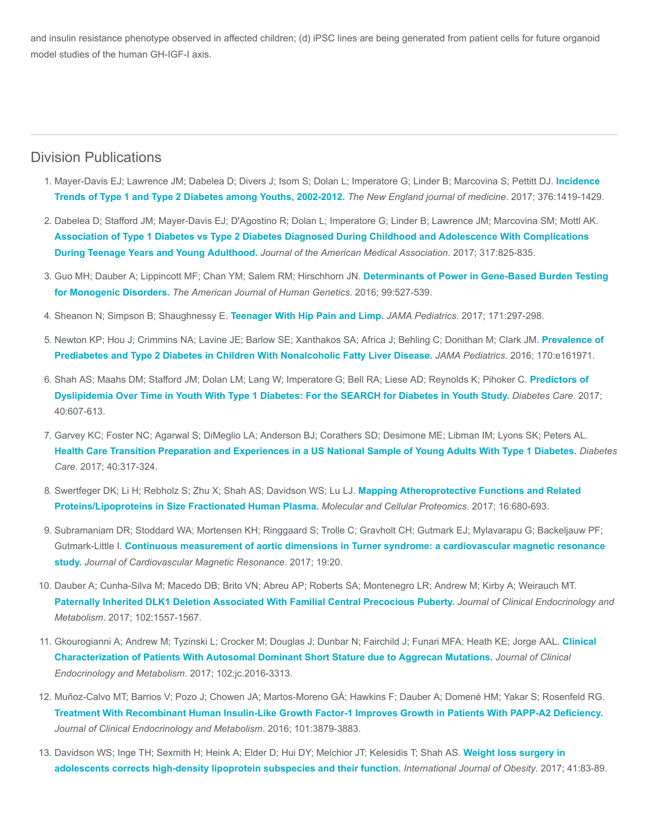and insulin resistance phenotype observed in affected children; (d) iPSC lines are being generated from patient cells for future organoid model studies of the human GH-IGF-I axis.

### Division Publications

- 1. [Mayer-Davis EJ; Lawrence JM; Dabelea D; Divers J; Isom S; Dolan L; Imperatore G; Linder B; Marcovina S; Pettitt DJ.](https://www.ncbi.nlm.nih.gov/pubmed/28402773) Incidence Trends of Type 1 and Type 2 Diabetes among Youths, 2002-2012. The New England journal of medicine. 2017; 376:1419-1429.
- 2. Dabelea D; Stafford JM; Mayer-Davis EJ; D'Agostino R; Dolan L; Imperatore G; Linder B; Lawrence JM; Marcovina SM; Mottl AK. [Association of Type 1 Diabetes vs Type 2 Diabetes Diagnosed During Childhood and Adolescence With Complications](https://www.ncbi.nlm.nih.gov/pubmed/28245334) During Teenage Years and Young Adulthood. Journal of the American Medical Association. 2017; 317:825-835.
- 3. [Guo MH; Dauber A; Lippincott MF; Chan YM; Salem RM; Hirschhorn JN.](https://www.ncbi.nlm.nih.gov/pubmed/27545677) Determinants of Power in Gene-Based Burden Testing for Monogenic Disorders. The American Journal of Human Genetics. 2016; 99:527-539.
- 4. Sheanon N; Simpson B; Shaughnessy E. [Teenager With Hip Pain and Limp.](https://www.ncbi.nlm.nih.gov/pubmed/28264104) JAMA Pediatrics. 2017; 171:297-298.
- 5. [Newton KP; Hou J; Crimmins NA; Lavine JE; Barlow SE; Xanthakos SA; Africa J; Behling C; Donithan M; Clark JM.](https://www.ncbi.nlm.nih.gov/pubmed/27478956) Prevalence of Prediabetes and Type 2 Diabetes in Children With Nonalcoholic Fatty Liver Disease. JAMA Pediatrics. 2016; 170:e161971.
- 6. [Shah AS; Maahs DM; Stafford JM; Dolan LM; Lang W; Imperatore G; Bell RA; Liese AD; Reynolds K; Pihoker C.](https://www.ncbi.nlm.nih.gov/pubmed/28126715) Predictors of Dyslipidemia Over Time in Youth With Type 1 Diabetes: For the SEARCH for Diabetes in Youth Study. Diabetes Care. 2017; 40:607-613.
- 7. Garvey KC; Foster NC; Agarwal S; DiMeglio LA; Anderson BJ; Corathers SD; Desimone ME; Libman IM; Lyons SK; Peters AL. [Health Care Transition Preparation and Experiences in a US National Sample of Young Adults With Type 1 Diabetes.](https://www.ncbi.nlm.nih.gov/pubmed/28007779) Diabetes Care. 2017; 40:317-324.
- 8. [Swertfeger DK; Li H; Rebholz S; Zhu X; Shah AS; Davidson WS; Lu LJ.](https://www.ncbi.nlm.nih.gov/pubmed/28223350) Mapping Atheroprotective Functions and Related Proteins/Lipoproteins in Size Fractionated Human Plasma. Molecular and Cellular Proteomics. 2017; 16:680-693.
- 9. Subramaniam DR; Stoddard WA; Mortensen KH; Ringgaard S; Trolle C; Gravholt CH; Gutmark EJ; Mylavarapu G; Backeljauw PF; Gutmark-Little I. [Continuous measurement of aortic dimensions in Turner syndrome: a cardiovascular magnetic resonance](https://www.ncbi.nlm.nih.gov/pubmed/28231838) study. Journal of Cardiovascular Magnetic Resonance. 2017; 19:20.
- 10. Dauber A; Cunha-Silva M; Macedo DB; Brito VN; Abreu AP; Roberts SA; Montenegro LR; Andrew M; Kirby A; Weirauch MT. [Paternally Inherited DLK1 Deletion Associated With Familial Central Precocious Puberty.](https://www.ncbi.nlm.nih.gov/pubmed/28324015) Journal of Clinical Endocrinology and Metabolism. 2017; 102:1557-1567.
- 11. [Gkourogianni A; Andrew M; Tyzinski L; Crocker M; Douglas J; Dunbar N; Fairchild J; Funari MFA; Heath KE; Jorge AAL.](https://www.ncbi.nlm.nih.gov/pubmed/27870580) Clinical Characterization of Patients With Autosomal Dominant Short Stature due to Aggrecan Mutations. Journal of Clinical Endocrinology and Metabolism. 2017; 102:jc.2016-3313.
- 12. Muñoz-Calvo MT; Barrios V; Pozo J; Chowen JA; Martos-Moreno GÁ; Hawkins F; Dauber A; Domené HM; Yakar S; Rosenfeld RG. [Treatment With Recombinant Human Insulin-Like Growth Factor-1 Improves Growth in Patients With PAPP-A2 Deficiency.](https://www.ncbi.nlm.nih.gov/pubmed/27648969) Journal of Clinical Endocrinology and Metabolism. 2016; 101:3879-3883.
- 13. [Davidson WS; Inge TH; Sexmith H; Heink A; Elder D; Hui DY; Melchior JT; Kelesidis T; Shah AS.](https://www.ncbi.nlm.nih.gov/pubmed/27780977) Weight loss surgery in adolescents corrects high-density lipoprotein subspecies and their function. International Journal of Obesity. 2017; 41:83-89.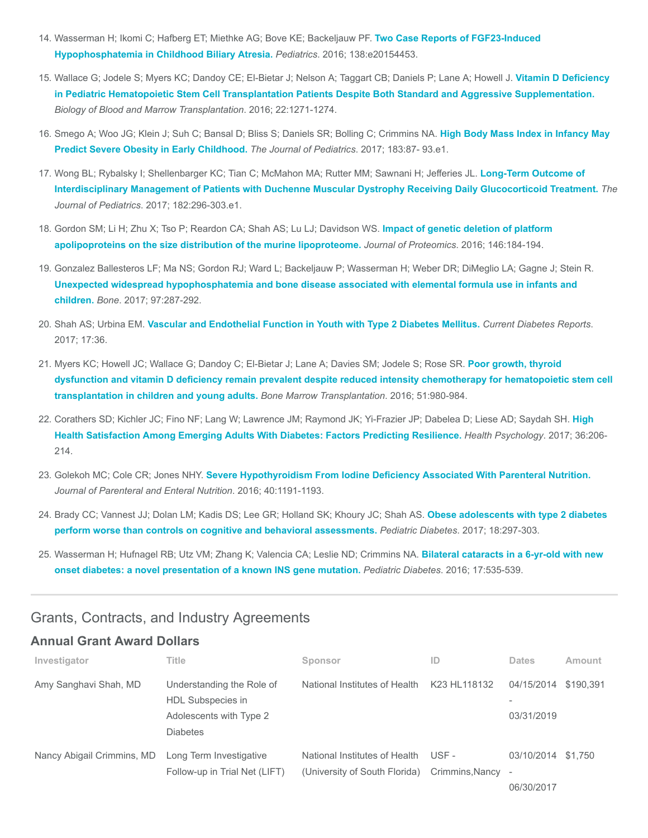- 14. [Wasserman H; Ikomi C; Hafberg ET; Miethke AG; Bove KE; Backeljauw PF.](https://www.ncbi.nlm.nih.gov/pubmed/27462066) Two Case Reports of FGF23-Induced Hypophosphatemia in Childhood Biliary Atresia. Pediatrics. 2016; 138:e20154453.
- 15. Wallace G; Jodele S; Myers KC; Dandoy CE; El-Bietar J; Nelson A; Taggart CB; Daniels P; Lane A; Howell J. Vitamin D Deficiency [in Pediatric Hematopoietic Stem Cell Transplantation Patients Despite Both Standard and Aggressive Supplementation.](https://www.ncbi.nlm.nih.gov/pubmed/27044905) Biology of Blood and Marrow Transplantation. 2016; 22:1271-1274.
- 16. [Smego A; Woo JG; Klein J; Suh C; Bansal D; Bliss S; Daniels SR; Bolling C; Crimmins NA.](https://www.ncbi.nlm.nih.gov/pubmed/27916426) High Body Mass Index in Infancy May Predict Severe Obesity in Early Childhood. The Journal of Pediatrics. 2017; 183:87-93.e1.
- 17. Wong BL; Rybalsky I; Shellenbarger KC; Tian C; McMahon MA; Rutter MM; Sawnani H; Jefferies JL. Long-Term Outcome of [Interdisciplinary Management of Patients with Duchenne Muscular Dystrophy Receiving Daily Glucocorticoid Treatment.](https://www.ncbi.nlm.nih.gov/pubmed/28043681) The Journal of Pediatrics. 2017; 182:296-303.e1.
- 18. [Gordon SM; Li H; Zhu X; Tso P; Reardon CA; Shah AS; Lu LJ; Davidson WS.](https://www.ncbi.nlm.nih.gov/pubmed/27385375) Impact of genetic deletion of platform apolipoproteins on the size distribution of the murine lipoproteome. Journal of Proteomics. 2016; 146:184-194.
- 19. Gonzalez Ballesteros LF; Ma NS; Gordon RJ; Ward L; Backeljauw P; Wasserman H; Weber DR; DiMeglio LA; Gagne J; Stein R. [Unexpected widespread hypophosphatemia and bone disease associated with elemental formula use in infants and](https://www.ncbi.nlm.nih.gov/pubmed/28167344) children. Bone. 2017; 97:287-292.
- 20. Shah AS; Urbina EM. [Vascular and Endothelial Function in Youth with Type 2 Diabetes Mellitus.](https://www.ncbi.nlm.nih.gov/pubmed/28432570) Current Diabetes Reports. 2017; 17:36.
- 21. Myers KC; Howell JC; Wallace G; Dandoy C; El-Bietar J; Lane A; Davies SM; Jodele S; Rose SR. Poor growth, thyroid [dysfunction and vitamin D deficiency remain prevalent despite reduced intensity chemotherapy for hematopoietic stem cell](https://www.ncbi.nlm.nih.gov/pubmed/26974276) transplantation in children and young adults. Bone Marrow Transplantation. 2016; 51:980-984.
- 22. [Corathers SD; Kichler JC; Fino NF; Lang W; Lawrence JM; Raymond JK; Yi-Frazier JP; Dabelea D; Liese AD; Saydah SH.](https://www.ncbi.nlm.nih.gov/pubmed/27736152) High Health Satisfaction Among Emerging Adults With Diabetes: Factors Predicting Resilience. Health Psychology. 2017; 36:206- 214.
- 23. Golekoh MC; Cole CR; Jones NHY. Severe Hypothyroidism From lodine Deficiency Associated With Parenteral Nutrition. Journal of Parenteral and Enteral Nutrition. 2016; 40:1191-1193.
- 24. [Brady CC; Vannest JJ; Dolan LM; Kadis DS; Lee GR; Holland SK; Khoury JC; Shah AS.](https://www.ncbi.nlm.nih.gov/pubmed/27028236) Obese adolescents with type 2 diabetes perform worse than controls on cognitive and behavioral assessments. Pediatric Diabetes. 2017; 18:297-303.
- 25. [Wasserman H; Hufnagel RB; Utz VM; Zhang K; Valencia CA; Leslie ND; Crimmins NA.](https://www.ncbi.nlm.nih.gov/pubmed/26530398) Bilateral cataracts in a 6-yr-old with new onset diabetes: a novel presentation of a known INS gene mutation. Pediatric Diabetes. 2016; 17:535-539.

## Grants, Contracts, and Industry Agreements

#### Annual Grant Award Dollars

| Investigator               | Title                                                                                        | Sponsor                                                        | ID                       | <b>Dates</b>                                         | Amount    |
|----------------------------|----------------------------------------------------------------------------------------------|----------------------------------------------------------------|--------------------------|------------------------------------------------------|-----------|
| Amy Sanghavi Shah, MD      | Understanding the Role of<br>HDL Subspecies in<br>Adolescents with Type 2<br><b>Diabetes</b> | National Institutes of Health                                  | K23 HL118132             | 04/15/2014<br>03/31/2019                             | \$190.391 |
| Nancy Abigail Crimmins, MD | Long Term Investigative<br>Follow-up in Trial Net (LIFT)                                     | National Institutes of Health<br>(University of South Florida) | USE -<br>Crimmins, Nancy | 03/10/2014<br>$\overline{\phantom{a}}$<br>06/30/2017 | \$1.750   |